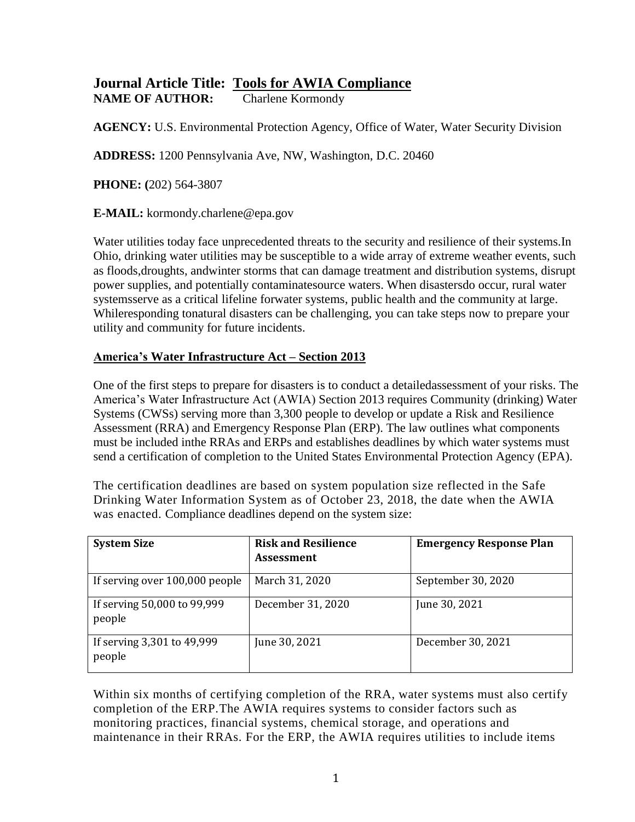## **Journal Article Title: Tools for AWIA Compliance NAME OF AUTHOR:** Charlene Kormondy

**AGENCY:** U.S. Environmental Protection Agency, Office of Water, Water Security Division

**ADDRESS:** 1200 Pennsylvania Ave, NW, Washington, D.C. 20460

**PHONE: (**202) 564-3807

**E-MAIL:** kormondy.charlene@epa.gov

Water utilities today face unprecedented threats to the security and resilience of their systems.In Ohio, drinking water utilities may be susceptible to a wide array of extreme weather events, such as floods,droughts, andwinter storms that can damage treatment and distribution systems, disrupt power supplies, and potentially contaminatesource waters. When disastersdo occur, rural water systemsserve as a critical lifeline forwater systems, public health and the community at large. Whileresponding tonatural disasters can be challenging, you can take steps now to prepare your utility and community for future incidents.

## **America's Water Infrastructure Act – Section 2013**

One of the first steps to prepare for disasters is to conduct a detailedassessment of your risks. The America's Water Infrastructure Act (AWIA) Section 2013 requires Community (drinking) Water Systems (CWSs) serving more than 3,300 people to develop or update a Risk and Resilience Assessment (RRA) and Emergency Response Plan (ERP). The law outlines what components must be included inthe RRAs and ERPs and establishes deadlines by which water systems must send a certification of completion to the United States Environmental Protection Agency (EPA).

The certification deadlines are based on system population size reflected in the Safe Drinking Water Information System as of October 23, 2018, the date when the AWIA was enacted. Compliance deadlines depend on the system size:

| <b>System Size</b>                    | <b>Risk and Resilience</b><br><b>Assessment</b> | <b>Emergency Response Plan</b> |
|---------------------------------------|-------------------------------------------------|--------------------------------|
| If serving over 100,000 people        | March 31, 2020                                  | September 30, 2020             |
| If serving 50,000 to 99,999<br>people | December 31, 2020                               | June 30, 2021                  |
| If serving 3,301 to 49,999<br>people  | June 30, 2021                                   | December 30, 2021              |

Within six months of certifying completion of the RRA, water systems must also certify completion of the ERP.The AWIA requires systems to consider factors such as monitoring practices, financial systems, chemical storage, and operations and maintenance in their RRAs. For the ERP, the AWIA requires utilities to include items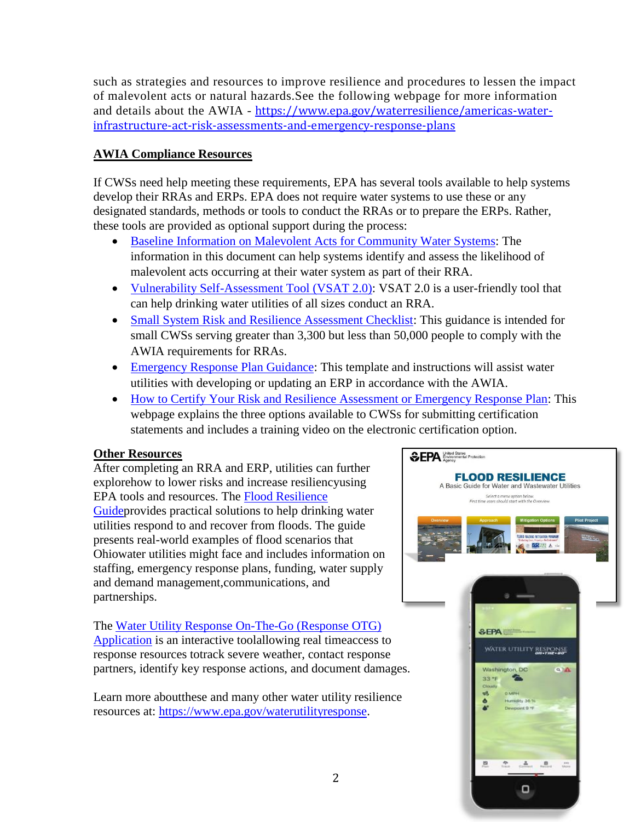such as strategies and resources to improve resilience and procedures to lessen the impact of malevolent acts or natural hazards.See the following webpage for more information and details about the AWIA - [https://www.epa.gov/waterresilience/americas-water](https://www.epa.gov/waterresilience/americas-water-infrastructure-act-risk-assessments-and-emergency-response-plans)[infrastructure-act-risk-assessments-and-emergency-response-plans](https://www.epa.gov/waterresilience/americas-water-infrastructure-act-risk-assessments-and-emergency-response-plans)

## **AWIA Compliance Resources**

If CWSs need help meeting these requirements, EPA has several tools available to help systems develop their RRAs and ERPs. EPA does not require water systems to use these or any designated standards, methods or tools to conduct the RRAs or to prepare the ERPs. Rather, these tools are provided as optional support during the process:

- [Baseline Information on Malevolent Acts for Community Water Systems:](https://www.epa.gov/waterriskassessment/baseline-information-malevolent-acts-community-water-systems) The information in this document can help systems identify and assess the likelihood of malevolent acts occurring at their water system as part of their RRA.
- [Vulnerability Self-Assessment Tool \(VSAT 2.0\):](https://www.epa.gov/waterriskassessment/conduct-drinking-water-or-wastewater-utility-risk-assessment) VSAT 2.0 is a user-friendly tool that can help drinking water utilities of all sizes conduct an RRA.
- [Small System Risk and Resilience Assessment Checklist:](https://www.epa.gov/waterresilience/small-system-risk-and-resilience-assessment-checklist) This guidance is intended for small CWSs serving greater than 3,300 but less than 50,000 people to comply with the AWIA requirements for RRAs.
- [Emergency Response Plan Guidance:](https://www.epa.gov/waterutilityresponse/develop-or-update-drinking-water-utility-emergency-response-plan) This template and instructions will assist water utilities with developing or updating an ERP in accordance with the AWIA.
- [How to Certify Your Risk and Resilience Assessment or Emergency Response Plan:](https://www.epa.gov/waterresilience/how-certify-your-risk-and-resilience-assessment-or-emergency-response-plan) This webpage explains the three options available to CWSs for submitting certification statements and includes a training video on the electronic certification option.

## **Other Resources**

After completing an RRA and ERP, utilities can further explorehow to lower risks and increase resiliencyusing EPA tools and resources. The [Flood Resilience](https://www.epa.gov/sites/production/files/2015-08/documents/flood_resilience_guide.pdf)  [Guidep](https://www.epa.gov/sites/production/files/2015-08/documents/flood_resilience_guide.pdf)rovides practical solutions to help drinking water utilities respond to and recover from floods. The guide presents real-world examples of flood scenarios that Ohiowater utilities might face and includes information on staffing, emergency response plans, funding, water supply and demand management,communications, and partnerships.

The [Water Utility Response On-The-Go \(Response OTG\)](https://www.epa.gov/waterutilityresponse/water-utility-response-go-mobile-application-and-website)  [Application](https://www.epa.gov/waterutilityresponse/water-utility-response-go-mobile-application-and-website) is an interactive toolallowing real timeaccess to response resources totrack severe weather, contact response partners, identify key response actions, and document damages.

Learn more aboutthese and many other water utility resilience resources at: [https://www.epa.gov/waterutilityresponse.](https://www.epa.gov/waterutilityresponse)